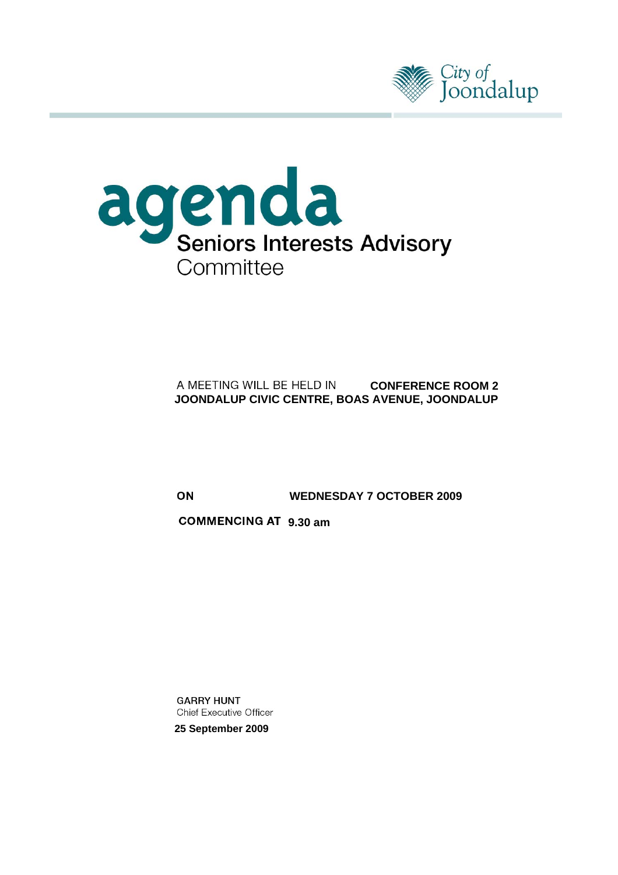



## A MEETING WILL BE HELD IN **CONFERENCE ROOM 2 JOONDALUP CIVIC CENTRE, BOAS AVENUE, JOONDALUP**

 **WEDNESDAY 7 OCTOBER 2009** 

**COMMENCING AT 9.30 am** 

**GARRY HUNT Chief Executive Officer** 

**25 September 2009**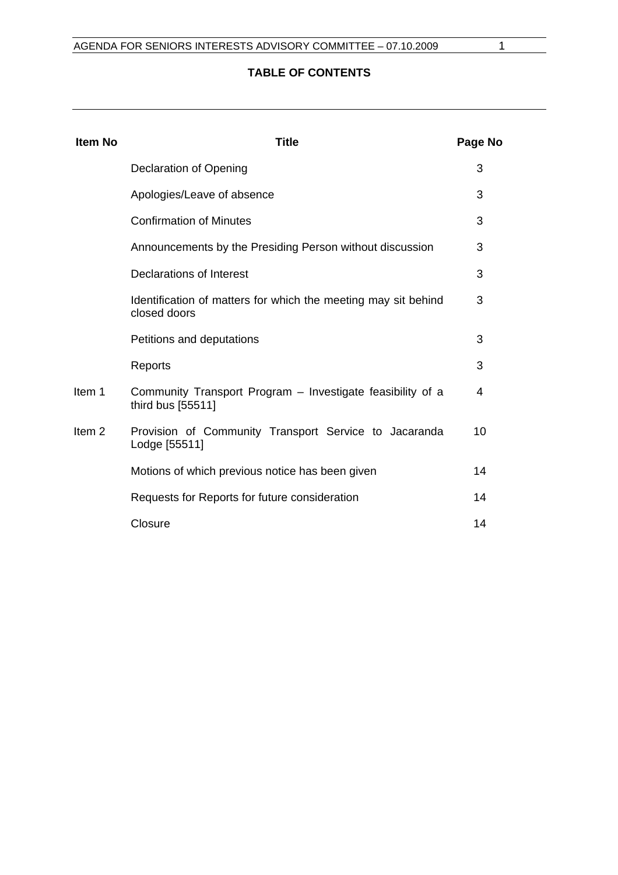## **TABLE OF CONTENTS**

| <b>Item No</b>    | <b>Title</b>                                                                    | Page No |
|-------------------|---------------------------------------------------------------------------------|---------|
|                   | <b>Declaration of Opening</b>                                                   | 3       |
|                   | Apologies/Leave of absence                                                      | 3       |
|                   | <b>Confirmation of Minutes</b>                                                  | 3       |
|                   | Announcements by the Presiding Person without discussion                        | 3       |
|                   | <b>Declarations of Interest</b>                                                 | 3       |
|                   | Identification of matters for which the meeting may sit behind<br>closed doors  | 3       |
|                   | Petitions and deputations                                                       | 3       |
|                   | Reports                                                                         | 3       |
| Item 1            | Community Transport Program – Investigate feasibility of a<br>third bus [55511] | 4       |
| Item <sub>2</sub> | Provision of Community Transport Service to Jacaranda<br>Lodge [55511]          | 10      |
|                   | Motions of which previous notice has been given                                 | 14      |
|                   | Requests for Reports for future consideration                                   | 14      |
|                   | Closure                                                                         | 14      |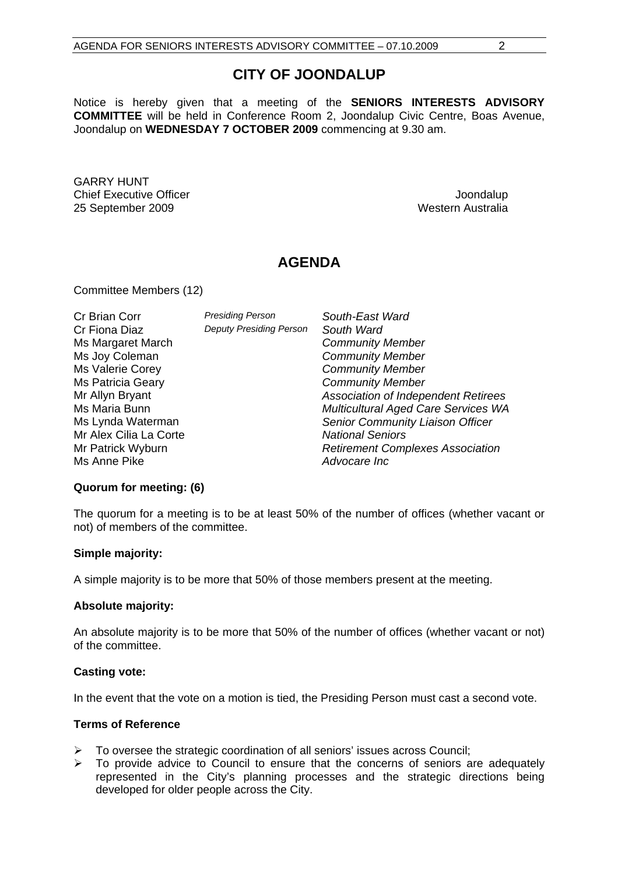## **CITY OF JOONDALUP**

Notice is hereby given that a meeting of the **SENIORS INTERESTS ADVISORY COMMITTEE** will be held in Conference Room 2, Joondalup Civic Centre, Boas Avenue, Joondalup on **WEDNESDAY 7 OCTOBER 2009** commencing at 9.30 am.

GARRY HUNT Chief Executive Officer  $\Box$  Joondalup Joondalup 25 September 2009 Western Australia

## **AGENDA**

Committee Members (12)

| Cr Brian Corr<br>Cr Fiona Diaz<br>Ms Margaret March<br>Ms Joy Coleman<br>Ms Valerie Corey<br><b>Ms Patricia Geary</b><br>Mr Allyn Bryant<br>Ms Maria Bunn<br>Ms Lynda Waterman<br>Mr Alex Cilia La Corte<br>Mr Patrick Wyburn | <b>Presiding Person</b><br><b>Deputy Presiding Person</b> | South-East Ward<br>South Ward<br><b>Community Member</b><br><b>Community Member</b><br><b>Community Member</b><br><b>Community Member</b><br><b>Association of Independent Retirees</b><br>Multicultural Aged Care Services WA<br>Senior Community Liaison Officer<br><b>National Seniors</b><br><b>Retirement Complexes Association</b> |
|-------------------------------------------------------------------------------------------------------------------------------------------------------------------------------------------------------------------------------|-----------------------------------------------------------|------------------------------------------------------------------------------------------------------------------------------------------------------------------------------------------------------------------------------------------------------------------------------------------------------------------------------------------|
| Ms Anne Pike                                                                                                                                                                                                                  |                                                           | Advocare Inc                                                                                                                                                                                                                                                                                                                             |

#### **Quorum for meeting: (6)**

The quorum for a meeting is to be at least 50% of the number of offices (whether vacant or not) of members of the committee.

#### **Simple majority:**

A simple majority is to be more that 50% of those members present at the meeting.

#### **Absolute majority:**

An absolute majority is to be more that 50% of the number of offices (whether vacant or not) of the committee.

#### **Casting vote:**

In the event that the vote on a motion is tied, the Presiding Person must cast a second vote.

#### **Terms of Reference**

- $\triangleright$  To oversee the strategic coordination of all seniors' issues across Council;
- $\triangleright$  To provide advice to Council to ensure that the concerns of seniors are adequately represented in the City's planning processes and the strategic directions being developed for older people across the City.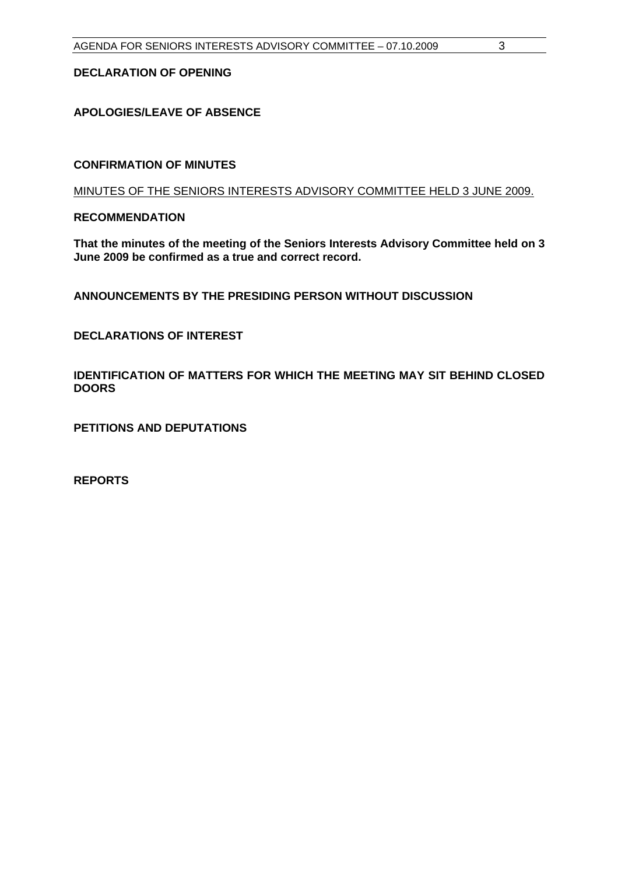### <span id="page-3-0"></span>**DECLARATION OF OPENING**

### **APOLOGIES/LEAVE OF ABSENCE**

#### **CONFIRMATION OF MINUTES**

MINUTES OF THE SENIORS INTERESTS ADVISORY COMMITTEE HELD 3 JUNE 2009.

**RECOMMENDATION** 

**That the minutes of the meeting of the Seniors Interests Advisory Committee held on 3 June 2009 be confirmed as a true and correct record.** 

**ANNOUNCEMENTS BY THE PRESIDING PERSON WITHOUT DISCUSSION** 

**DECLARATIONS OF INTEREST** 

**IDENTIFICATION OF MATTERS FOR WHICH THE MEETING MAY SIT BEHIND CLOSED DOORS** 

**PETITIONS AND DEPUTATIONS** 

**REPORTS**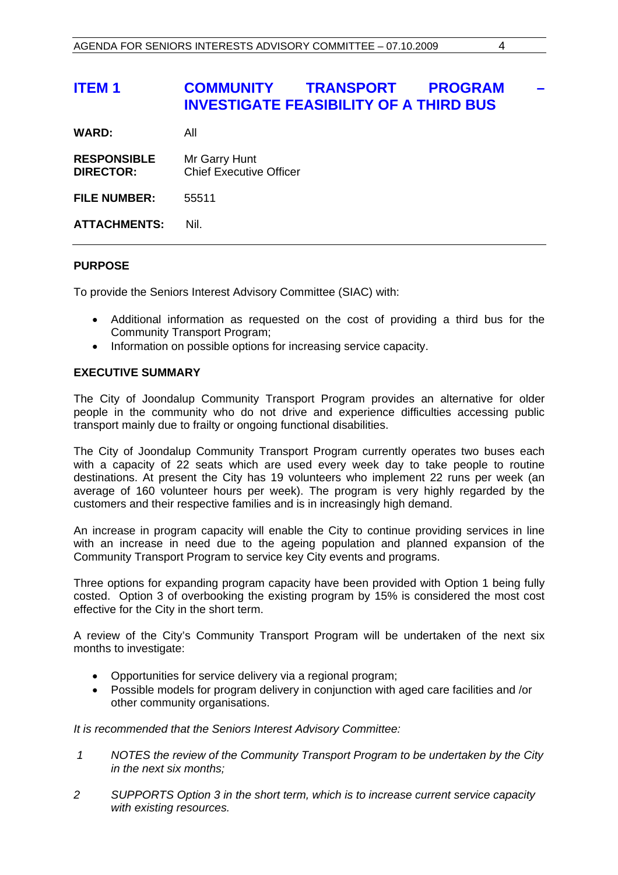## <span id="page-4-0"></span>**ITEM 1 COMMUNITY TRANSPORT PROGRAM INVESTIGATE FEASIBILITY OF A THIRD BUS**

| <b>WARD:</b> | All |
|--------------|-----|
|              |     |

| <b>RESPONSIBLE</b><br><b>DIRECTOR:</b> | Mr Garry Hunt<br><b>Chief Executive Officer</b> |
|----------------------------------------|-------------------------------------------------|
| <b>FILE NUMBER:</b>                    | 55511                                           |
| <b>ATTACHMENTS:</b>                    | Nil.                                            |

#### **PURPOSE**

To provide the Seniors Interest Advisory Committee (SIAC) with:

- Additional information as requested on the cost of providing a third bus for the Community Transport Program;
- Information on possible options for increasing service capacity.

#### **EXECUTIVE SUMMARY**

The City of Joondalup Community Transport Program provides an alternative for older people in the community who do not drive and experience difficulties accessing public transport mainly due to frailty or ongoing functional disabilities.

The City of Joondalup Community Transport Program currently operates two buses each with a capacity of 22 seats which are used every week day to take people to routine destinations. At present the City has 19 volunteers who implement 22 runs per week (an average of 160 volunteer hours per week). The program is very highly regarded by the customers and their respective families and is in increasingly high demand.

An increase in program capacity will enable the City to continue providing services in line with an increase in need due to the ageing population and planned expansion of the Community Transport Program to service key City events and programs.

Three options for expanding program capacity have been provided with Option 1 being fully costed. Option 3 of overbooking the existing program by 15% is considered the most cost effective for the City in the short term.

A review of the City's Community Transport Program will be undertaken of the next six months to investigate:

- Opportunities for service delivery via a regional program;
- Possible models for program delivery in conjunction with aged care facilities and /or other community organisations.

*It is recommended that the Seniors Interest Advisory Committee:* 

- *1 NOTES the review of the Community Transport Program to be undertaken by the City in the next six months;*
- *2 SUPPORTS Option 3 in the short term, which is to increase current service capacity with existing resources.*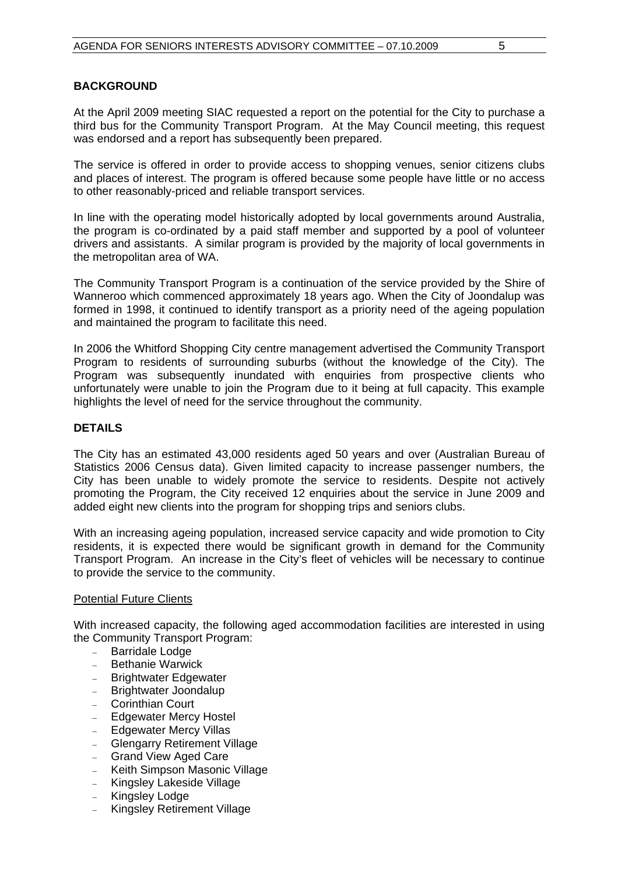#### **BACKGROUND**

At the April 2009 meeting SIAC requested a report on the potential for the City to purchase a third bus for the Community Transport Program. At the May Council meeting, this request was endorsed and a report has subsequently been prepared.

The service is offered in order to provide access to shopping venues, senior citizens clubs and places of interest. The program is offered because some people have little or no access to other reasonably-priced and reliable transport services.

In line with the operating model historically adopted by local governments around Australia, the program is co-ordinated by a paid staff member and supported by a pool of volunteer drivers and assistants. A similar program is provided by the majority of local governments in the metropolitan area of WA.

The Community Transport Program is a continuation of the service provided by the Shire of Wanneroo which commenced approximately 18 years ago. When the City of Joondalup was formed in 1998, it continued to identify transport as a priority need of the ageing population and maintained the program to facilitate this need.

In 2006 the Whitford Shopping City centre management advertised the Community Transport Program to residents of surrounding suburbs (without the knowledge of the City). The Program was subsequently inundated with enquiries from prospective clients who unfortunately were unable to join the Program due to it being at full capacity. This example highlights the level of need for the service throughout the community.

#### **DETAILS**

The City has an estimated 43,000 residents aged 50 years and over (Australian Bureau of Statistics 2006 Census data). Given limited capacity to increase passenger numbers, the City has been unable to widely promote the service to residents. Despite not actively promoting the Program, the City received 12 enquiries about the service in June 2009 and added eight new clients into the program for shopping trips and seniors clubs.

With an increasing ageing population, increased service capacity and wide promotion to City residents, it is expected there would be significant growth in demand for the Community Transport Program. An increase in the City's fleet of vehicles will be necessary to continue to provide the service to the community.

#### Potential Future Clients

With increased capacity, the following aged accommodation facilities are interested in using the Community Transport Program:

- Barridale Lodge
- Bethanie Warwick
- Brightwater Edgewater
- Brightwater Joondalup
- Corinthian Court
- Edgewater Mercy Hostel
- Edgewater Mercy Villas
- Glengarry Retirement Village
- Grand View Aged Care
- Keith Simpson Masonic Village
- Kingsley Lakeside Village
- Kingsley Lodge
- Kingsley Retirement Village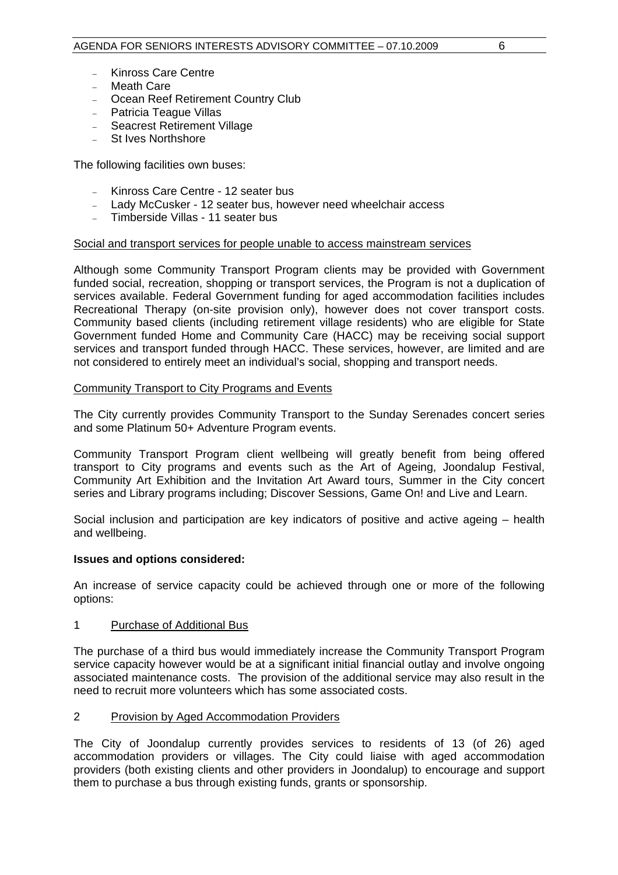- Kinross Care Centre
- Meath Care
- Ocean Reef Retirement Country Club
- Patricia Teague Villas
- Seacrest Retirement Village
- St Ives Northshore

The following facilities own buses:

- Kinross Care Centre 12 seater bus
- Lady McCusker 12 seater bus, however need wheelchair access
- Timberside Villas 11 seater bus

#### Social and transport services for people unable to access mainstream services

Although some Community Transport Program clients may be provided with Government funded social, recreation, shopping or transport services, the Program is not a duplication of services available. Federal Government funding for aged accommodation facilities includes Recreational Therapy (on-site provision only), however does not cover transport costs. Community based clients (including retirement village residents) who are eligible for State Government funded Home and Community Care (HACC) may be receiving social support services and transport funded through HACC. These services, however, are limited and are not considered to entirely meet an individual's social, shopping and transport needs.

#### Community Transport to City Programs and Events

The City currently provides Community Transport to the Sunday Serenades concert series and some Platinum 50+ Adventure Program events.

Community Transport Program client wellbeing will greatly benefit from being offered transport to City programs and events such as the Art of Ageing, Joondalup Festival, Community Art Exhibition and the Invitation Art Award tours, Summer in the City concert series and Library programs including; Discover Sessions, Game On! and Live and Learn.

Social inclusion and participation are key indicators of positive and active ageing – health and wellbeing.

#### **Issues and options considered:**

An increase of service capacity could be achieved through one or more of the following options:

#### 1 Purchase of Additional Bus

The purchase of a third bus would immediately increase the Community Transport Program service capacity however would be at a significant initial financial outlay and involve ongoing associated maintenance costs. The provision of the additional service may also result in the need to recruit more volunteers which has some associated costs.

#### 2 Provision by Aged Accommodation Providers

The City of Joondalup currently provides services to residents of 13 (of 26) aged accommodation providers or villages. The City could liaise with aged accommodation providers (both existing clients and other providers in Joondalup) to encourage and support them to purchase a bus through existing funds, grants or sponsorship.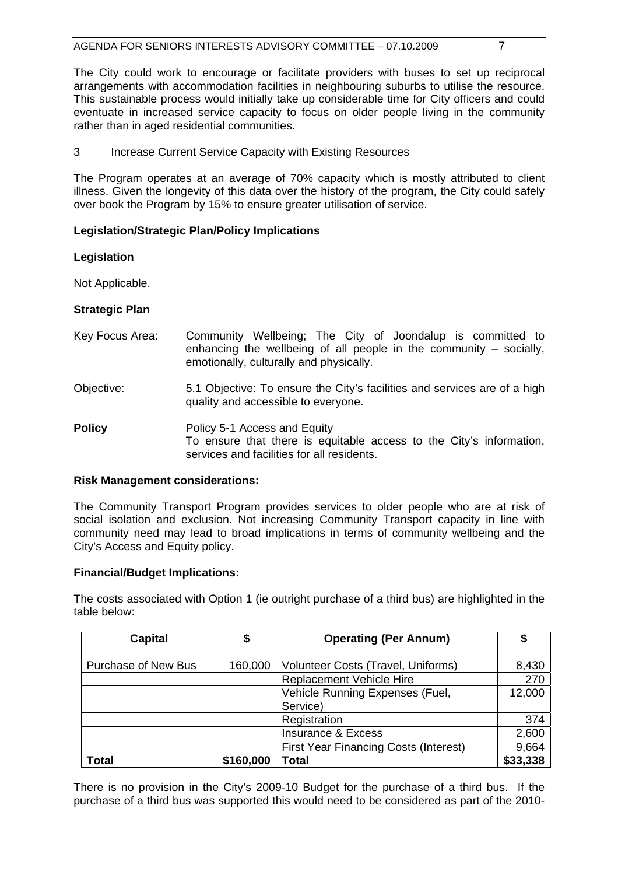The City could work to encourage or facilitate providers with buses to set up reciprocal arrangements with accommodation facilities in neighbouring suburbs to utilise the resource. This sustainable process would initially take up considerable time for City officers and could eventuate in increased service capacity to focus on older people living in the community rather than in aged residential communities.

#### 3 Increase Current Service Capacity with Existing Resources

The Program operates at an average of 70% capacity which is mostly attributed to client illness. Given the longevity of this data over the history of the program, the City could safely over book the Program by 15% to ensure greater utilisation of service.

#### **Legislation/Strategic Plan/Policy Implications**

#### **Legislation**

Not Applicable.

#### **Strategic Plan**

- Key Focus Area: Community Wellbeing; The City of Joondalup is committed to enhancing the wellbeing of all people in the community – socially, emotionally, culturally and physically.
- Objective: 5.1 Objective: To ensure the City's facilities and services are of a high quality and accessible to everyone.
- **Policy Policy 5-1 Access and Equity** To ensure that there is equitable access to the City's information, services and facilities for all residents.

#### **Risk Management considerations:**

The Community Transport Program provides services to older people who are at risk of social isolation and exclusion. Not increasing Community Transport capacity in line with community need may lead to broad implications in terms of community wellbeing and the City's Access and Equity policy.

#### **Financial/Budget Implications:**

The costs associated with Option 1 (ie outright purchase of a third bus) are highlighted in the table below:

| <b>Capital</b>      | \$        | <b>Operating (Per Annum)</b>                 |          |
|---------------------|-----------|----------------------------------------------|----------|
|                     |           |                                              |          |
| Purchase of New Bus | 160,000   | Volunteer Costs (Travel, Uniforms)           | 8,430    |
|                     |           | <b>Replacement Vehicle Hire</b>              | 270      |
|                     |           | Vehicle Running Expenses (Fuel,              | 12,000   |
|                     |           | Service)                                     |          |
|                     |           | Registration                                 | 374      |
|                     |           | <b>Insurance &amp; Excess</b>                | 2,600    |
|                     |           | <b>First Year Financing Costs (Interest)</b> | 9,664    |
| <b>Total</b>        | \$160,000 | Total                                        | \$33,338 |

There is no provision in the City's 2009-10 Budget for the purchase of a third bus. If the purchase of a third bus was supported this would need to be considered as part of the 2010-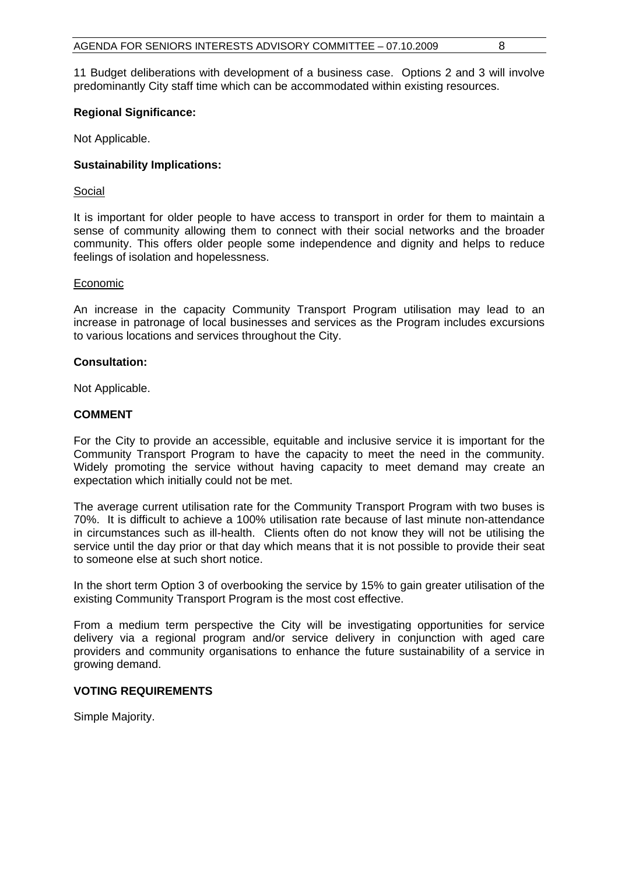11 Budget deliberations with development of a business case. Options 2 and 3 will involve predominantly City staff time which can be accommodated within existing resources.

#### **Regional Significance:**

Not Applicable.

#### **Sustainability Implications:**

#### Social

It is important for older people to have access to transport in order for them to maintain a sense of community allowing them to connect with their social networks and the broader community. This offers older people some independence and dignity and helps to reduce feelings of isolation and hopelessness.

#### **Economic**

An increase in the capacity Community Transport Program utilisation may lead to an increase in patronage of local businesses and services as the Program includes excursions to various locations and services throughout the City.

#### **Consultation:**

Not Applicable.

#### **COMMENT**

For the City to provide an accessible, equitable and inclusive service it is important for the Community Transport Program to have the capacity to meet the need in the community. Widely promoting the service without having capacity to meet demand may create an expectation which initially could not be met.

The average current utilisation rate for the Community Transport Program with two buses is 70%. It is difficult to achieve a 100% utilisation rate because of last minute non-attendance in circumstances such as ill-health. Clients often do not know they will not be utilising the service until the day prior or that day which means that it is not possible to provide their seat to someone else at such short notice.

In the short term Option 3 of overbooking the service by 15% to gain greater utilisation of the existing Community Transport Program is the most cost effective.

From a medium term perspective the City will be investigating opportunities for service delivery via a regional program and/or service delivery in conjunction with aged care providers and community organisations to enhance the future sustainability of a service in growing demand.

#### **VOTING REQUIREMENTS**

Simple Majority.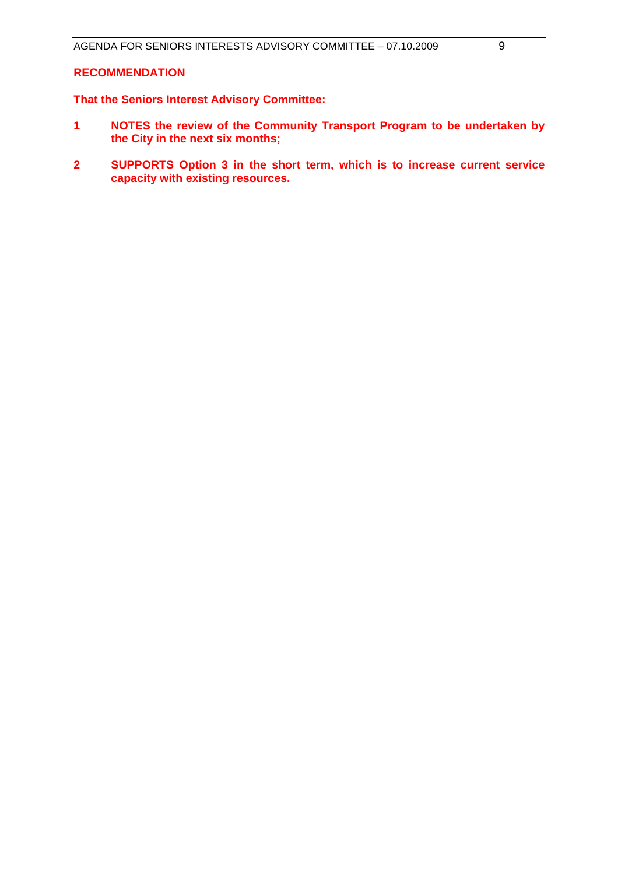#### **RECOMMENDATION**

## **That the Seniors Interest Advisory Committee:**

- **1 NOTES the review of the Community Transport Program to be undertaken by the City in the next six months;**
- **2 SUPPORTS Option 3 in the short term, which is to increase current service capacity with existing resources.**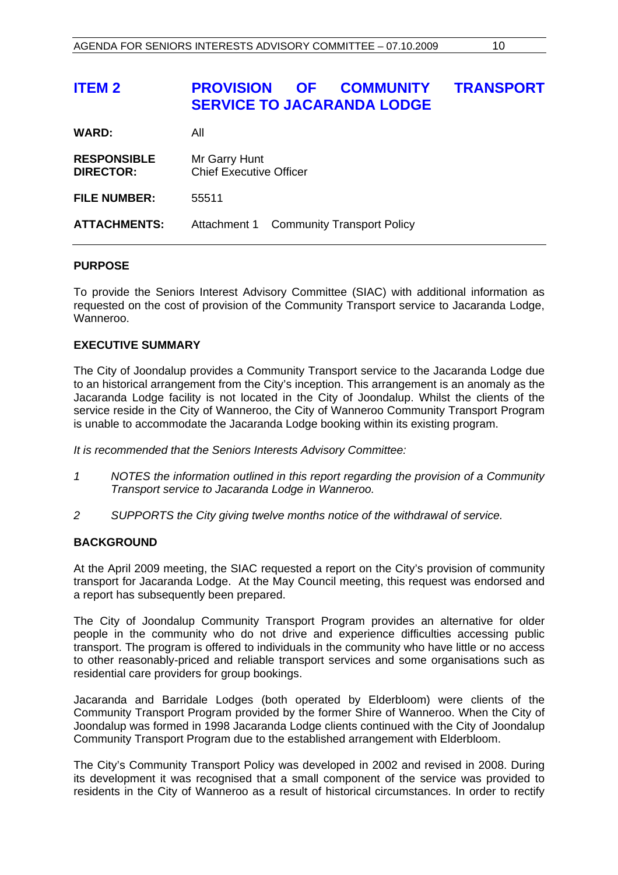## <span id="page-10-0"></span>**ITEM 2 PROVISION OF COMMUNITY TRANSPORT SERVICE TO JACARANDA LODGE**

| <b>WARD:</b> | All |
|--------------|-----|
|              |     |

| <b>RESPONSIBLE</b> | Mr Garry Hunt                  |
|--------------------|--------------------------------|
| <b>DIRECTOR:</b>   | <b>Chief Executive Officer</b> |

**FILE NUMBER:** 55511

**ATTACHMENTS:** Attachment 1 Community Transport Policy

#### **PURPOSE**

To provide the Seniors Interest Advisory Committee (SIAC) with additional information as requested on the cost of provision of the Community Transport service to Jacaranda Lodge, Wanneroo.

#### **EXECUTIVE SUMMARY**

The City of Joondalup provides a Community Transport service to the Jacaranda Lodge due to an historical arrangement from the City's inception. This arrangement is an anomaly as the Jacaranda Lodge facility is not located in the City of Joondalup. Whilst the clients of the service reside in the City of Wanneroo, the City of Wanneroo Community Transport Program is unable to accommodate the Jacaranda Lodge booking within its existing program.

*It is recommended that the Seniors Interests Advisory Committee:* 

- *1 NOTES the information outlined in this report regarding the provision of a Community Transport service to Jacaranda Lodge in Wanneroo.*
- *2 SUPPORTS the City giving twelve months notice of the withdrawal of service.*

#### **BACKGROUND**

At the April 2009 meeting, the SIAC requested a report on the City's provision of community transport for Jacaranda Lodge. At the May Council meeting, this request was endorsed and a report has subsequently been prepared.

The City of Joondalup Community Transport Program provides an alternative for older people in the community who do not drive and experience difficulties accessing public transport. The program is offered to individuals in the community who have little or no access to other reasonably-priced and reliable transport services and some organisations such as residential care providers for group bookings.

Jacaranda and Barridale Lodges (both operated by Elderbloom) were clients of the Community Transport Program provided by the former Shire of Wanneroo. When the City of Joondalup was formed in 1998 Jacaranda Lodge clients continued with the City of Joondalup Community Transport Program due to the established arrangement with Elderbloom.

The City's Community Transport Policy was developed in 2002 and revised in 2008. During its development it was recognised that a small component of the service was provided to residents in the City of Wanneroo as a result of historical circumstances. In order to rectify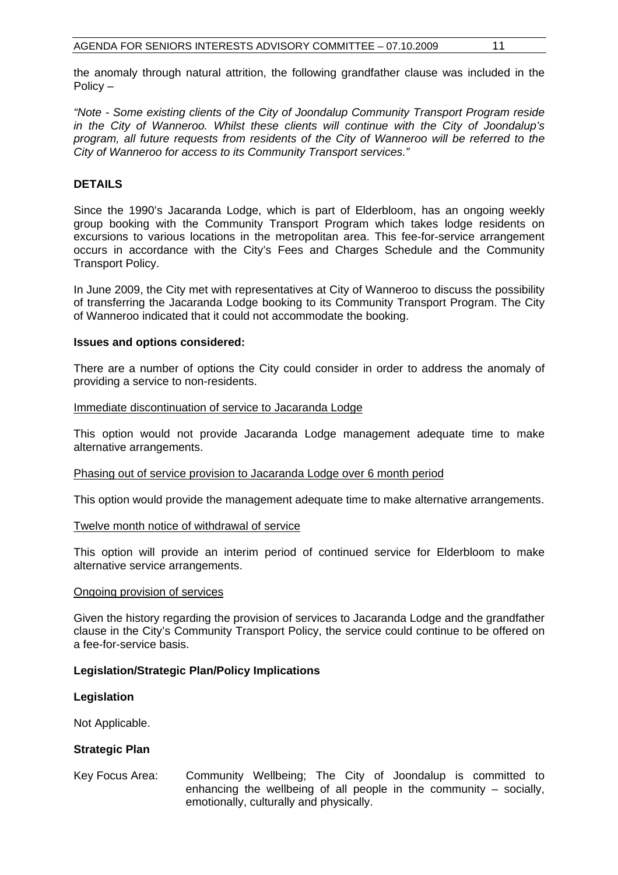the anomaly through natural attrition, the following grandfather clause was included in the Policy –

*"Note - Some existing clients of the City of Joondalup Community Transport Program reside in the City of Wanneroo. Whilst these clients will continue with the City of Joondalup's program, all future requests from residents of the City of Wanneroo will be referred to the City of Wanneroo for access to its Community Transport services."* 

#### **DETAILS**

Since the 1990's Jacaranda Lodge, which is part of Elderbloom, has an ongoing weekly group booking with the Community Transport Program which takes lodge residents on excursions to various locations in the metropolitan area. This fee-for-service arrangement occurs in accordance with the City's Fees and Charges Schedule and the Community Transport Policy.

In June 2009, the City met with representatives at City of Wanneroo to discuss the possibility of transferring the Jacaranda Lodge booking to its Community Transport Program. The City of Wanneroo indicated that it could not accommodate the booking.

#### **Issues and options considered:**

There are a number of options the City could consider in order to address the anomaly of providing a service to non-residents.

#### Immediate discontinuation of service to Jacaranda Lodge

This option would not provide Jacaranda Lodge management adequate time to make alternative arrangements.

#### Phasing out of service provision to Jacaranda Lodge over 6 month period

This option would provide the management adequate time to make alternative arrangements.

#### Twelve month notice of withdrawal of service

This option will provide an interim period of continued service for Elderbloom to make alternative service arrangements.

#### Ongoing provision of services

Given the history regarding the provision of services to Jacaranda Lodge and the grandfather clause in the City's Community Transport Policy, the service could continue to be offered on a fee-for-service basis.

#### **Legislation/Strategic Plan/Policy Implications**

#### **Legislation**

Not Applicable.

#### **Strategic Plan**

Key Focus Area: Community Wellbeing; The City of Joondalup is committed to enhancing the wellbeing of all people in the community – socially, emotionally, culturally and physically.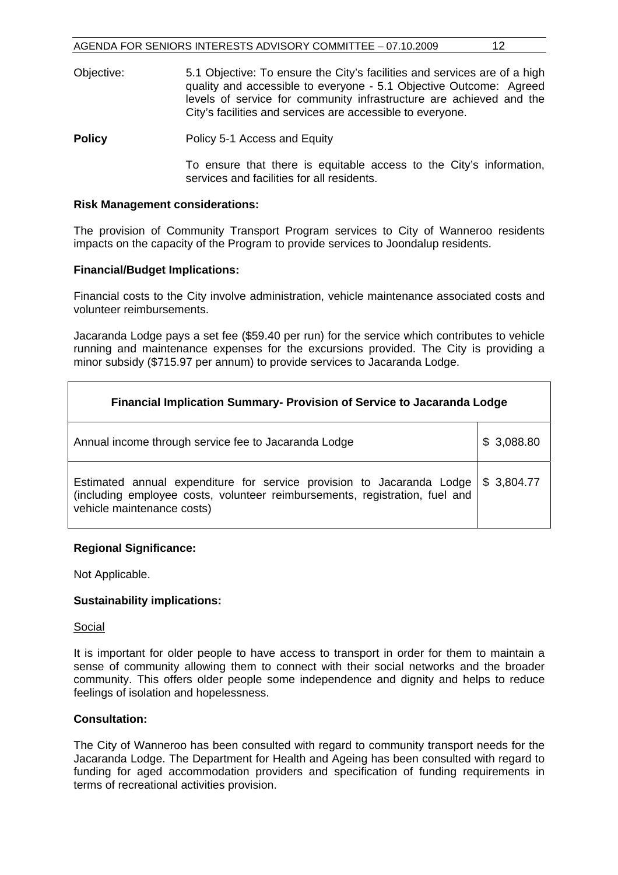- Objective: 5.1 Objective: To ensure the City's facilities and services are of a high quality and accessible to everyone - 5.1 Objective Outcome: Agreed levels of service for community infrastructure are achieved and the City's facilities and services are accessible to everyone.
- **Policy Policy** 5-1 Access and Equity

To ensure that there is equitable access to the City's information, services and facilities for all residents.

#### **Risk Management considerations:**

The provision of Community Transport Program services to City of Wanneroo residents impacts on the capacity of the Program to provide services to Joondalup residents.

#### **Financial/Budget Implications:**

Financial costs to the City involve administration, vehicle maintenance associated costs and volunteer reimbursements.

Jacaranda Lodge pays a set fee (\$59.40 per run) for the service which contributes to vehicle running and maintenance expenses for the excursions provided. The City is providing a minor subsidy (\$715.97 per annum) to provide services to Jacaranda Lodge.

| Financial Implication Summary- Provision of Service to Jacaranda Lodge                                                                                                             |                 |  |
|------------------------------------------------------------------------------------------------------------------------------------------------------------------------------------|-----------------|--|
| Annual income through service fee to Jacaranda Lodge                                                                                                                               | 3,088.80<br>\$. |  |
| Estimated annual expenditure for service provision to Jacaranda Lodge<br>(including employee costs, volunteer reimbursements, registration, fuel and<br>vehicle maintenance costs) | \$3,804.77      |  |

#### **Regional Significance:**

Not Applicable.

#### **Sustainability implications:**

#### Social

It is important for older people to have access to transport in order for them to maintain a sense of community allowing them to connect with their social networks and the broader community. This offers older people some independence and dignity and helps to reduce feelings of isolation and hopelessness.

#### **Consultation:**

The City of Wanneroo has been consulted with regard to community transport needs for the Jacaranda Lodge. The Department for Health and Ageing has been consulted with regard to funding for aged accommodation providers and specification of funding requirements in terms of recreational activities provision.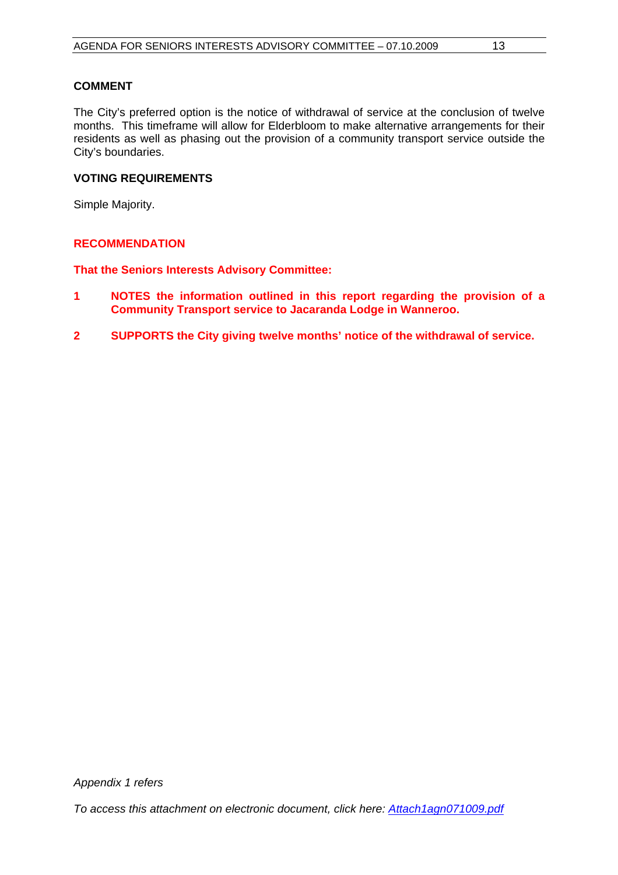### **COMMENT**

The City's preferred option is the notice of withdrawal of service at the conclusion of twelve months. This timeframe will allow for Elderbloom to make alternative arrangements for their residents as well as phasing out the provision of a community transport service outside the City's boundaries.

#### **VOTING REQUIREMENTS**

Simple Majority.

#### **RECOMMENDATION**

**That the Seniors Interests Advisory Committee:** 

- **1 NOTES the information outlined in this report regarding the provision of a Community Transport service to Jacaranda Lodge in Wanneroo.**
- **2 SUPPORTS the City giving twelve months' notice of the withdrawal of service.**

*To access this attachment on electronic document, click here:<Attach1agn071009.pdf>*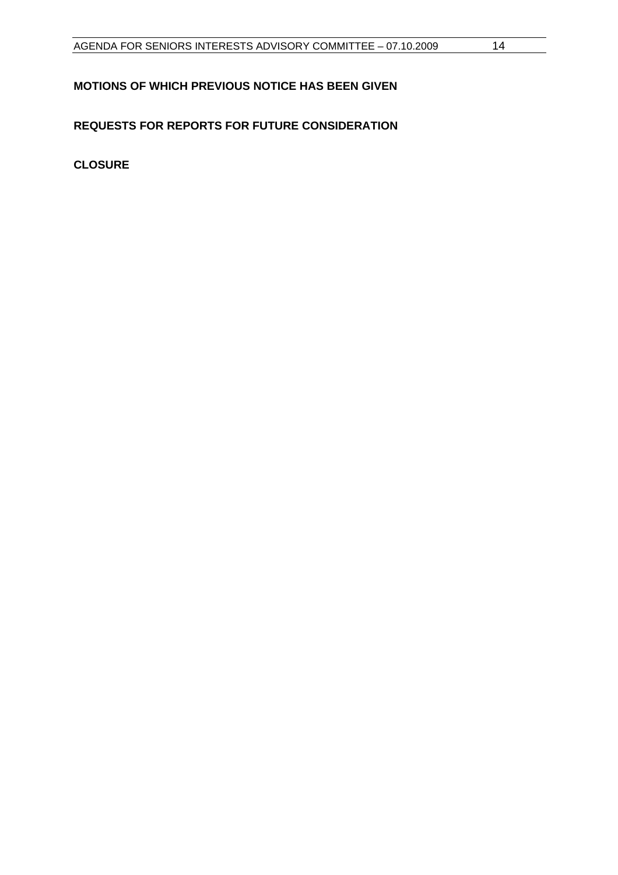## <span id="page-14-0"></span>**MOTIONS OF WHICH PREVIOUS NOTICE HAS BEEN GIVEN**

## **REQUESTS FOR REPORTS FOR FUTURE CONSIDERATION**

**CLOSURE**